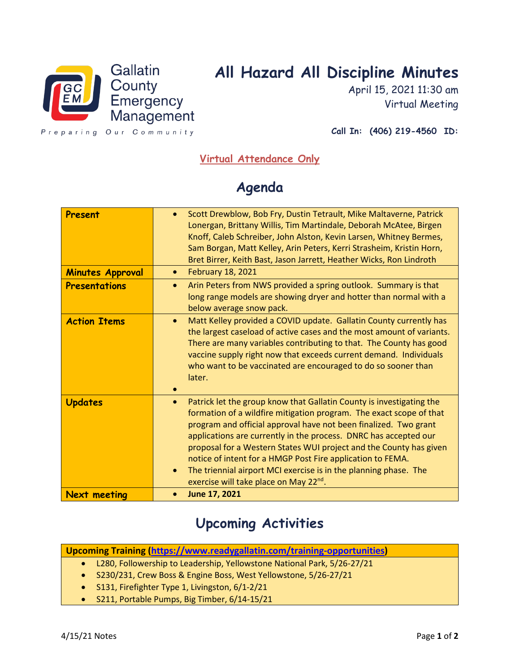

## **All Hazard All Discipline Minutes**

April 15, 2021 11:30 am Virtual Meeting

Preparing Our Community

**Call In: (406) 219-4560 ID:** 

## **Virtual Attendance Only**

## **Agenda**

| Present                 | Scott Drewblow, Bob Fry, Dustin Tetrault, Mike Maltaverne, Patrick<br>Lonergan, Brittany Willis, Tim Martindale, Deborah McAtee, Birgen<br>Knoff, Caleb Schreiber, John Alston, Kevin Larsen, Whitney Bermes,<br>Sam Borgan, Matt Kelley, Arin Peters, Kerri Strasheim, Kristin Horn,<br>Bret Birrer, Keith Bast, Jason Jarrett, Heather Wicks, Ron Lindroth                                                                                                                                                                                                                |
|-------------------------|-----------------------------------------------------------------------------------------------------------------------------------------------------------------------------------------------------------------------------------------------------------------------------------------------------------------------------------------------------------------------------------------------------------------------------------------------------------------------------------------------------------------------------------------------------------------------------|
| <b>Minutes Approval</b> | <b>February 18, 2021</b><br>$\bullet$                                                                                                                                                                                                                                                                                                                                                                                                                                                                                                                                       |
| <b>Presentations</b>    | Arin Peters from NWS provided a spring outlook. Summary is that<br>$\bullet$<br>long range models are showing dryer and hotter than normal with a<br>below average snow pack.                                                                                                                                                                                                                                                                                                                                                                                               |
| <b>Action Items</b>     | Matt Kelley provided a COVID update. Gallatin County currently has<br>$\bullet$<br>the largest caseload of active cases and the most amount of variants.<br>There are many variables contributing to that. The County has good<br>vaccine supply right now that exceeds current demand. Individuals<br>who want to be vaccinated are encouraged to do so sooner than<br>later.                                                                                                                                                                                              |
| <b>Updates</b>          | Patrick let the group know that Gallatin County is investigating the<br>$\bullet$<br>formation of a wildfire mitigation program. The exact scope of that<br>program and official approval have not been finalized. Two grant<br>applications are currently in the process. DNRC has accepted our<br>proposal for a Western States WUI project and the County has given<br>notice of intent for a HMGP Post Fire application to FEMA.<br>The triennial airport MCI exercise is in the planning phase. The<br>$\bullet$<br>exercise will take place on May 22 <sup>nd</sup> . |
| <b>Next meeting</b>     | June 17, 2021                                                                                                                                                                                                                                                                                                                                                                                                                                                                                                                                                               |

## **Upcoming Activities**

**Upcoming Training [\(https://www.readygallatin.com/training-opportunities\)](https://www.readygallatin.com/calendars/training-opportunities)**

- L280, Followership to Leadership, Yellowstone National Park, 5/26-27/21
- S230/231, Crew Boss & Engine Boss, West Yellowstone, 5/26-27/21
- S131, Firefighter Type 1, Livingston, 6/1-2/21
- S211, Portable Pumps, Big Timber, 6/14-15/21